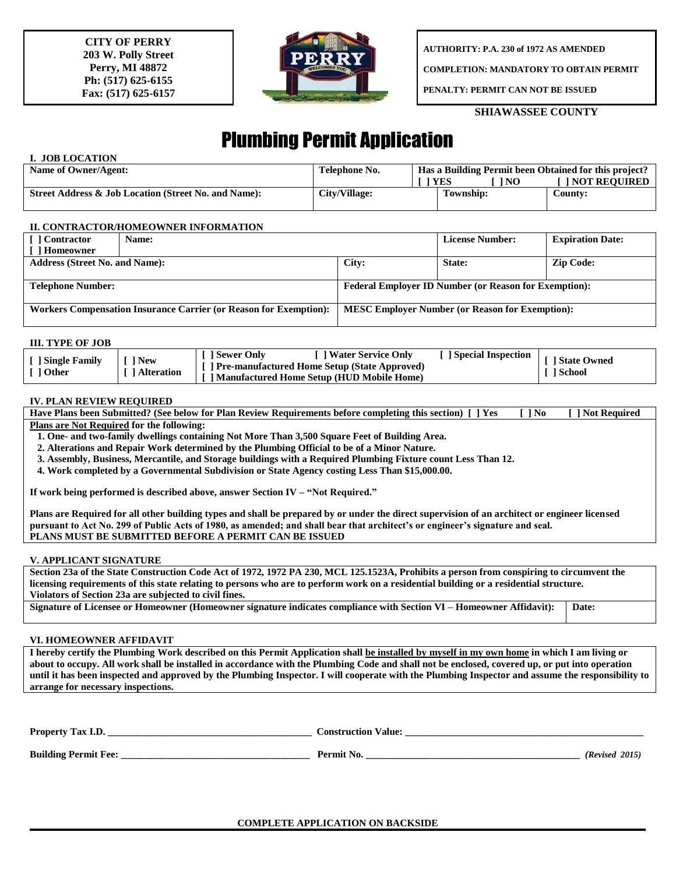**CITY OF PERRY 203 W. Polly Street Perry, MI 48872 Ph: (517) 625-6155 Fax: (517) 625-6157**



**AUTHORITY: P.A. 230 of 1972 AS AMENDED**

**COMPLETION: MANDATORY TO OBTAIN PERMIT**

**PENALTY: PERMIT CAN NOT BE ISSUED**

# **SHIAWASSEE COUNTY**

# Plumbing Permit Application

## **I. JOB LOCATION**

| Name of Owner/Agent:                                 | Telephone No. | Has a Building Permit been Obtained for this project? |                         |                       |
|------------------------------------------------------|---------------|-------------------------------------------------------|-------------------------|-----------------------|
|                                                      |               |                                                       | <sup>1</sup> YES<br>'NO | <b>I NOT REOUIRED</b> |
| Street Address & Job Location (Street No. and Name): | City/Village: |                                                       | Township:               | Countv:               |

#### **II. CONTRACTOR/HOMEOWNER INFORMATION**

| [ ] Contractor                                                    | Name: |                                                              | <b>License Number:</b> | <b>Expiration Date:</b> |  |
|-------------------------------------------------------------------|-------|--------------------------------------------------------------|------------------------|-------------------------|--|
| [ ] Homeowner                                                     |       |                                                              |                        |                         |  |
| <b>Address (Street No. and Name):</b>                             |       | City:                                                        | State:                 | <b>Zip Code:</b>        |  |
|                                                                   |       |                                                              |                        |                         |  |
| <b>Telephone Number:</b>                                          |       | <b>Federal Employer ID Number (or Reason for Exemption):</b> |                        |                         |  |
|                                                                   |       |                                                              |                        |                         |  |
| Workers Compensation Insurance Carrier (or Reason for Exemption): |       | <b>MESC Employer Number (or Reason for Exemption):</b>       |                        |                         |  |
|                                                                   |       |                                                              |                        |                         |  |

#### **III. TYPE OF JOB**

| <b>Special Inspection</b><br>1 Sewer Only<br>] Water Service Only<br>1 New<br>Single Family<br><b>Pre-manufactured Home Setup (State Approved)</b><br>l Other<br>1 Alteration<br><b>Manufactured Home Setup (HUD Mobile Home)</b> | I State Owned<br>1 School |
|-----------------------------------------------------------------------------------------------------------------------------------------------------------------------------------------------------------------------------------|---------------------------|
|-----------------------------------------------------------------------------------------------------------------------------------------------------------------------------------------------------------------------------------|---------------------------|

## **IV. PLAN REVIEW REQUIRED**

| Have Plans been Submitted? (See below for Plan Review Requirements before completing this section) [ ] Yes | $\blacksquare$ 1 No. | <b>TI Not Required</b> |
|------------------------------------------------------------------------------------------------------------|----------------------|------------------------|
| Dlang ang Not Degminad fan the followings                                                                  |                      |                        |

**Plans are Not Required for the following:**

 **1. One- and two-family dwellings containing Not More Than 3,500 Square Feet of Building Area.**

 **2. Alterations and Repair Work determined by the Plumbing Official to be of a Minor Nature.**

 **3. Assembly, Business, Mercantile, and Storage buildings with a Required Plumbing Fixture count Less Than 12.**

 **4. Work completed by a Governmental Subdivision or State Agency costing Less Than \$15,000.00.**

**If work being performed is described above, answer Section IV – "Not Required."**

**Plans are Required for all other building types and shall be prepared by or under the direct supervision of an architect or engineer licensed pursuant to Act No. 299 of Public Acts of 1980, as amended; and shall bear that architect's or engineer's signature and seal. PLANS MUST BE SUBMITTED BEFORE A PERMIT CAN BE ISSUED**

#### **V. APPLICANT SIGNATURE**

**Section 23a of the State Construction Code Act of 1972, 1972 PA 230, MCL 125.1523A, Prohibits a person from conspiring to circumvent the licensing requirements of this state relating to persons who are to perform work on a residential building or a residential structure. Violators of Section 23a are subjected to civil fines.**

**Signature of Licensee or Homeowner (Homeowner signature indicates compliance with Section VI – Homeowner Affidavit): Date:**

#### **VI. HOMEOWNER AFFIDAVIT**

**I hereby certify the Plumbing Work described on this Permit Application shall be installed by myself in my own home in which I am living or about to occupy. All work shall be installed in accordance with the Plumbing Code and shall not be enclosed, covered up, or put into operation until it has been inspected and approved by the Plumbing Inspector. I will cooperate with the Plumbing Inspector and assume the responsibility to arrange for necessary inspections.**

| <b>Property Tax I.D.</b>    | Construction Value: |                |
|-----------------------------|---------------------|----------------|
| <b>Building Permit Fee:</b> | Permit No.          | (Revised 2015) |